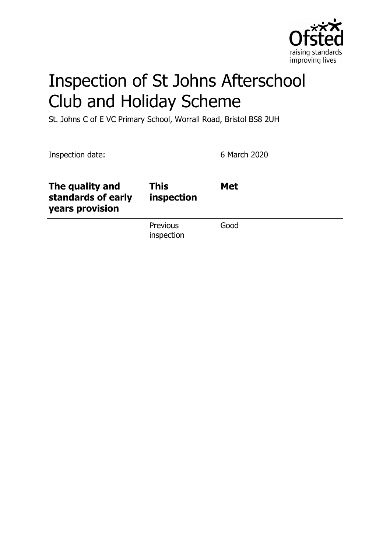

# Inspection of St Johns Afterschool Club and Holiday Scheme

St. Johns C of E VC Primary School, Worrall Road, Bristol BS8 2UH

| Inspection date:                                         |                           | 6 March 2020 |
|----------------------------------------------------------|---------------------------|--------------|
| The quality and<br>standards of early<br>years provision | <b>This</b><br>inspection | <b>Met</b>   |
|                                                          | Previous<br>inspection    | Good         |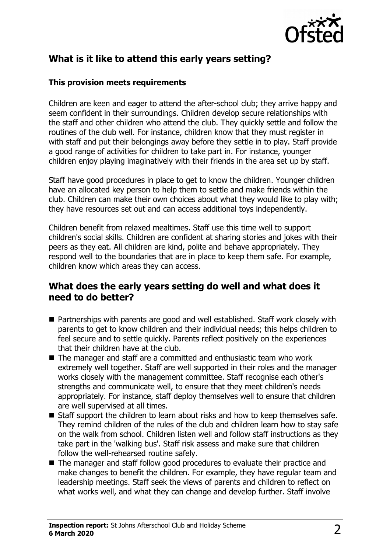

# **What is it like to attend this early years setting?**

#### **This provision meets requirements**

Children are keen and eager to attend the after-school club; they arrive happy and seem confident in their surroundings. Children develop secure relationships with the staff and other children who attend the club. They quickly settle and follow the routines of the club well. For instance, children know that they must register in with staff and put their belongings away before they settle in to play. Staff provide a good range of activities for children to take part in. For instance, younger children enjoy playing imaginatively with their friends in the area set up by staff.

Staff have good procedures in place to get to know the children. Younger children have an allocated key person to help them to settle and make friends within the club. Children can make their own choices about what they would like to play with; they have resources set out and can access additional toys independently.

Children benefit from relaxed mealtimes. Staff use this time well to support children's social skills. Children are confident at sharing stories and jokes with their peers as they eat. All children are kind, polite and behave appropriately. They respond well to the boundaries that are in place to keep them safe. For example, children know which areas they can access.

### **What does the early years setting do well and what does it need to do better?**

- Partnerships with parents are good and well established. Staff work closely with parents to get to know children and their individual needs; this helps children to feel secure and to settle quickly. Parents reflect positively on the experiences that their children have at the club.
- $\blacksquare$  The manager and staff are a committed and enthusiastic team who work extremely well together. Staff are well supported in their roles and the manager works closely with the management committee. Staff recognise each other's strengths and communicate well, to ensure that they meet children's needs appropriately. For instance, staff deploy themselves well to ensure that children are well supervised at all times.
- $\blacksquare$  Staff support the children to learn about risks and how to keep themselves safe. They remind children of the rules of the club and children learn how to stay safe on the walk from school. Children listen well and follow staff instructions as they take part in the 'walking bus'. Staff risk assess and make sure that children follow the well-rehearsed routine safely.
- $\blacksquare$  The manager and staff follow good procedures to evaluate their practice and make changes to benefit the children. For example, they have regular team and leadership meetings. Staff seek the views of parents and children to reflect on what works well, and what they can change and develop further. Staff involve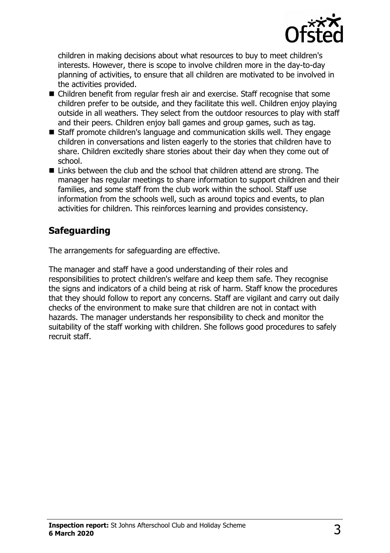

children in making decisions about what resources to buy to meet children's interests. However, there is scope to involve children more in the day-to-day planning of activities, to ensure that all children are motivated to be involved in the activities provided.

- Children benefit from regular fresh air and exercise. Staff recognise that some children prefer to be outside, and they facilitate this well. Children enjoy playing outside in all weathers. They select from the outdoor resources to play with staff and their peers. Children enjoy ball games and group games, such as tag.
- Staff promote children's language and communication skills well. They engage children in conversations and listen eagerly to the stories that children have to share. Children excitedly share stories about their day when they come out of school.
- $\blacksquare$  Links between the club and the school that children attend are strong. The manager has regular meetings to share information to support children and their families, and some staff from the club work within the school. Staff use information from the schools well, such as around topics and events, to plan activities for children. This reinforces learning and provides consistency.

# **Safeguarding**

The arrangements for safeguarding are effective.

The manager and staff have a good understanding of their roles and responsibilities to protect children's welfare and keep them safe. They recognise the signs and indicators of a child being at risk of harm. Staff know the procedures that they should follow to report any concerns. Staff are vigilant and carry out daily checks of the environment to make sure that children are not in contact with hazards. The manager understands her responsibility to check and monitor the suitability of the staff working with children. She follows good procedures to safely recruit staff.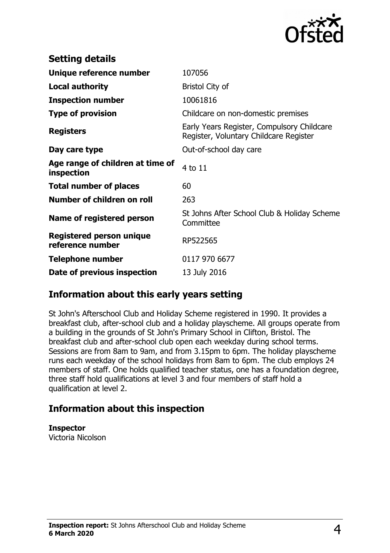

| 107056                                                                               |
|--------------------------------------------------------------------------------------|
| <b>Bristol City of</b>                                                               |
| 10061816                                                                             |
| Childcare on non-domestic premises                                                   |
| Early Years Register, Compulsory Childcare<br>Register, Voluntary Childcare Register |
| Out-of-school day care                                                               |
| 4 to 11                                                                              |
| 60                                                                                   |
| 263                                                                                  |
| St Johns After School Club & Holiday Scheme<br>Committee                             |
| RP522565                                                                             |
| 0117 970 6677                                                                        |
| 13 July 2016                                                                         |
|                                                                                      |

## **Information about this early years setting**

St John's Afterschool Club and Holiday Scheme registered in 1990. It provides a breakfast club, after-school club and a holiday playscheme. All groups operate from a building in the grounds of St John's Primary School in Clifton, Bristol. The breakfast club and after-school club open each weekday during school terms. Sessions are from 8am to 9am, and from 3.15pm to 6pm. The holiday playscheme runs each weekday of the school holidays from 8am to 6pm. The club employs 24 members of staff. One holds qualified teacher status, one has a foundation degree, three staff hold qualifications at level 3 and four members of staff hold a qualification at level 2.

## **Information about this inspection**

**Inspector** Victoria Nicolson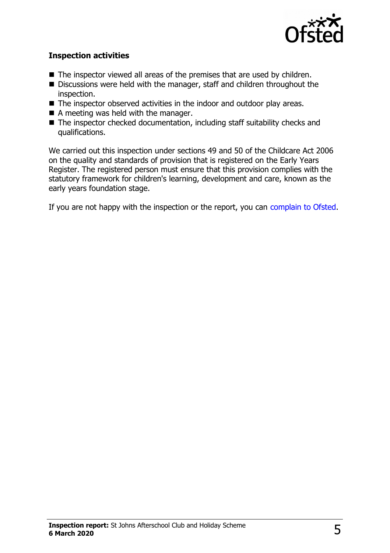

#### **Inspection activities**

- $\blacksquare$  The inspector viewed all areas of the premises that are used by children.
- Discussions were held with the manager, staff and children throughout the inspection.
- $\blacksquare$  The inspector observed activities in the indoor and outdoor play areas.
- $\blacksquare$  A meeting was held with the manager.
- $\blacksquare$  The inspector checked documentation, including staff suitability checks and qualifications.

We carried out this inspection under sections 49 and 50 of the Childcare Act 2006 on the quality and standards of provision that is registered on the Early Years Register. The registered person must ensure that this provision complies with the statutory framework for children's learning, development and care, known as the early years foundation stage.

If you are not happy with the inspection or the report, you can [complain to Ofsted.](http://www.gov.uk/complain-ofsted-report)